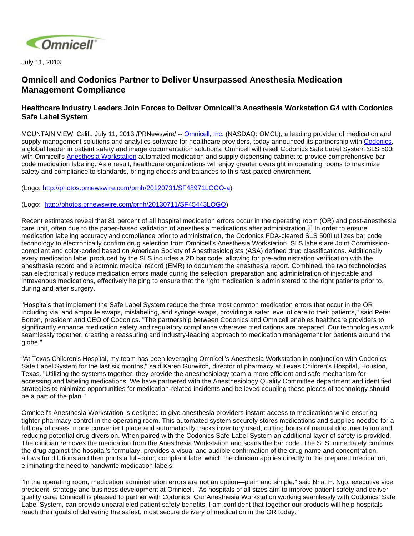

July 11, 2013

## **Omnicell and Codonics Partner to Deliver Unsurpassed Anesthesia Medication Management Compliance**

## **Healthcare Industry Leaders Join Forces to Deliver Omnicell's Anesthesia Workstation G4 with Codonics Safe Label System**

MOUNTAIN VIEW, Calif., July 11, 2013 /PRNewswire/ -- [Omnicell, Inc.](http://www.omnicell.com/) (NASDAQ: OMCL), a leading provider of medication and supply management solutions and analytics software for healthcare providers, today announced its partnership with [Codonics](http://www.codonics.com/), a global leader in patient safety and image documentation solutions. Omnicell will resell Codonics Safe Label System SLS 500i with Omnicell's **Anesthesia Workstation** automated medication and supply dispensing cabinet to provide comprehensive bar code medication labeling. As a result, healthcare organizations will enjoy greater oversight in operating rooms to maximize safety and compliance to standards, bringing checks and balances to this fast-paced environment.

(Logo: [http://photos.prnewswire.com/prnh/20120731/SF48971LOGO-a\)](http://photos.prnewswire.com/prnh/20120731/SF48971LOGO-a)

(Logo: <http://photos.prnewswire.com/prnh/20130711/SF45443LOGO>)

Recent estimates reveal that 81 percent of all hospital medication errors occur in the operating room (OR) and post-anesthesia care unit, often due to the paper-based validation of anesthesia medications after administration.[i] In order to ensure medication labeling accuracy and compliance prior to administration, the Codonics FDA-cleared SLS 500i utilizes bar code technology to electronically confirm drug selection from Omnicell's Anesthesia Workstation. SLS labels are Joint Commissioncompliant and color-coded based on American Society of Anesthesiologists (ASA) defined drug classifications. Additionally every medication label produced by the SLS includes a 2D bar code, allowing for pre-administration verification with the anesthesia record and electronic medical record (EMR) to document the anesthesia report. Combined, the two technologies can electronically reduce medication errors made during the selection, preparation and administration of injectable and intravenous medications, effectively helping to ensure that the right medication is administered to the right patients prior to, during and after surgery.

"Hospitals that implement the Safe Label System reduce the three most common medication errors that occur in the OR including vial and ampoule swaps, mislabeling, and syringe swaps, providing a safer level of care to their patients," said Peter Botten, president and CEO of Codonics. "The partnership between Codonics and Omnicell enables healthcare providers to significantly enhance medication safety and regulatory compliance wherever medications are prepared. Our technologies work seamlessly together, creating a reassuring and industry-leading approach to medication management for patients around the globe."

"At Texas Children's Hospital, my team has been leveraging Omnicell's Anesthesia Workstation in conjunction with Codonics Safe Label System for the last six months," said Karen Gurwitch, director of pharmacy at Texas Children's Hospital, Houston, Texas. "Utilizing the systems together, they provide the anesthesiology team a more efficient and safe mechanism for accessing and labeling medications. We have partnered with the Anesthesiology Quality Committee department and identified strategies to minimize opportunities for medication-related incidents and believed coupling these pieces of technology should be a part of the plan."

Omnicell's Anesthesia Workstation is designed to give anesthesia providers instant access to medications while ensuring tighter pharmacy control in the operating room. This automated system securely stores medications and supplies needed for a full day of cases in one convenient place and automatically tracks inventory used, cutting hours of manual documentation and reducing potential drug diversion. When paired with the Codonics Safe Label System an additional layer of safety is provided. The clinician removes the medication from the Anesthesia Workstation and scans the bar code. The SLS immediately confirms the drug against the hospital's formulary, provides a visual and audible confirmation of the drug name and concentration, allows for dilutions and then prints a full-color, compliant label which the clinician applies directly to the prepared medication, eliminating the need to handwrite medication labels.

"In the operating room, medication administration errors are not an option—plain and simple," said Nhat H. Ngo, executive vice president, strategy and business development at Omnicell. "As hospitals of all sizes aim to improve patient safety and deliver quality care, Omnicell is pleased to partner with Codonics. Our Anesthesia Workstation working seamlessly with Codonics' Safe Label System, can provide unparalleled patient safety benefits. I am confident that together our products will help hospitals reach their goals of delivering the safest, most secure delivery of medication in the OR today."